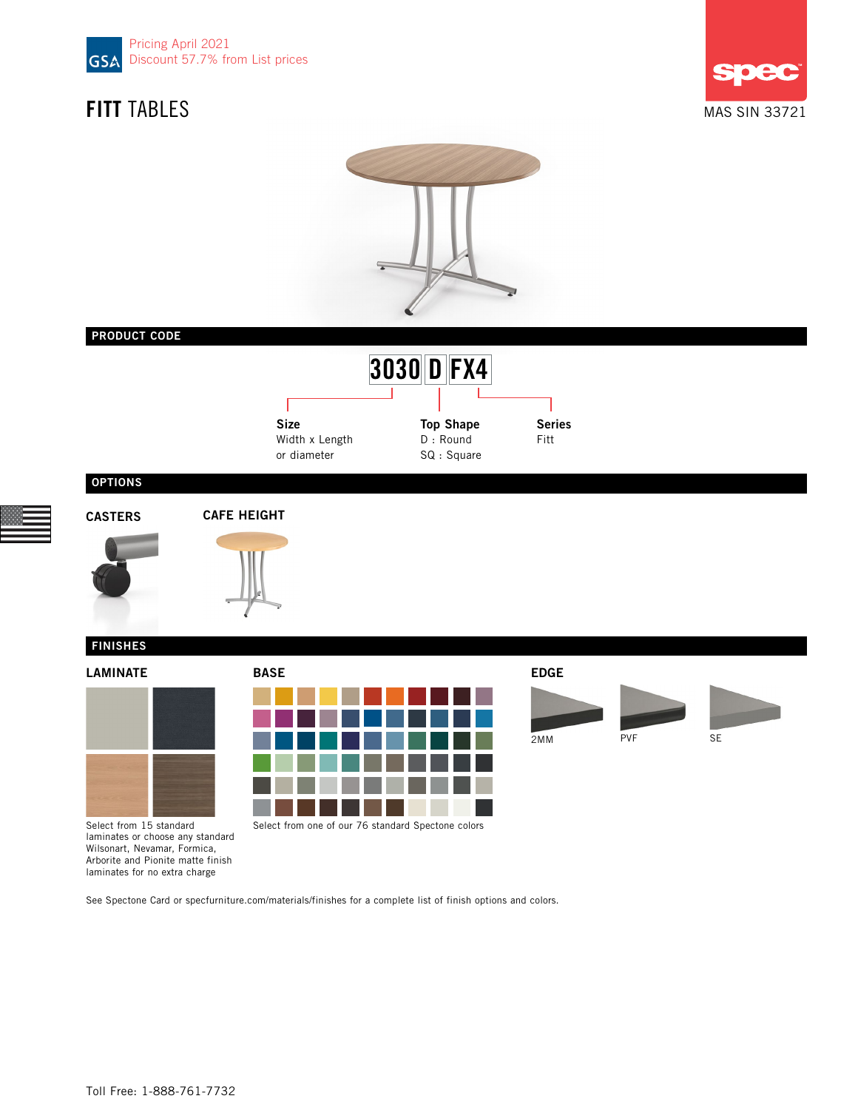









| м<br>ш<br>,,,,<br>г<br>┍ |  |  |  |  |  |  |  |  |
|--------------------------|--|--|--|--|--|--|--|--|
|                          |  |  |  |  |  |  |  |  |
|                          |  |  |  |  |  |  |  |  |
|                          |  |  |  |  |  |  |  |  |
|                          |  |  |  |  |  |  |  |  |
|                          |  |  |  |  |  |  |  |  |



2MM PVF SE

Select from 15 standard laminates or choose any standard Wilsonart, Nevamar, Formica, Arborite and Pionite matte finish laminates for no extra charge

See Spectone Card or specfurniture.com/materials/finishes for a complete list of finish options and colors.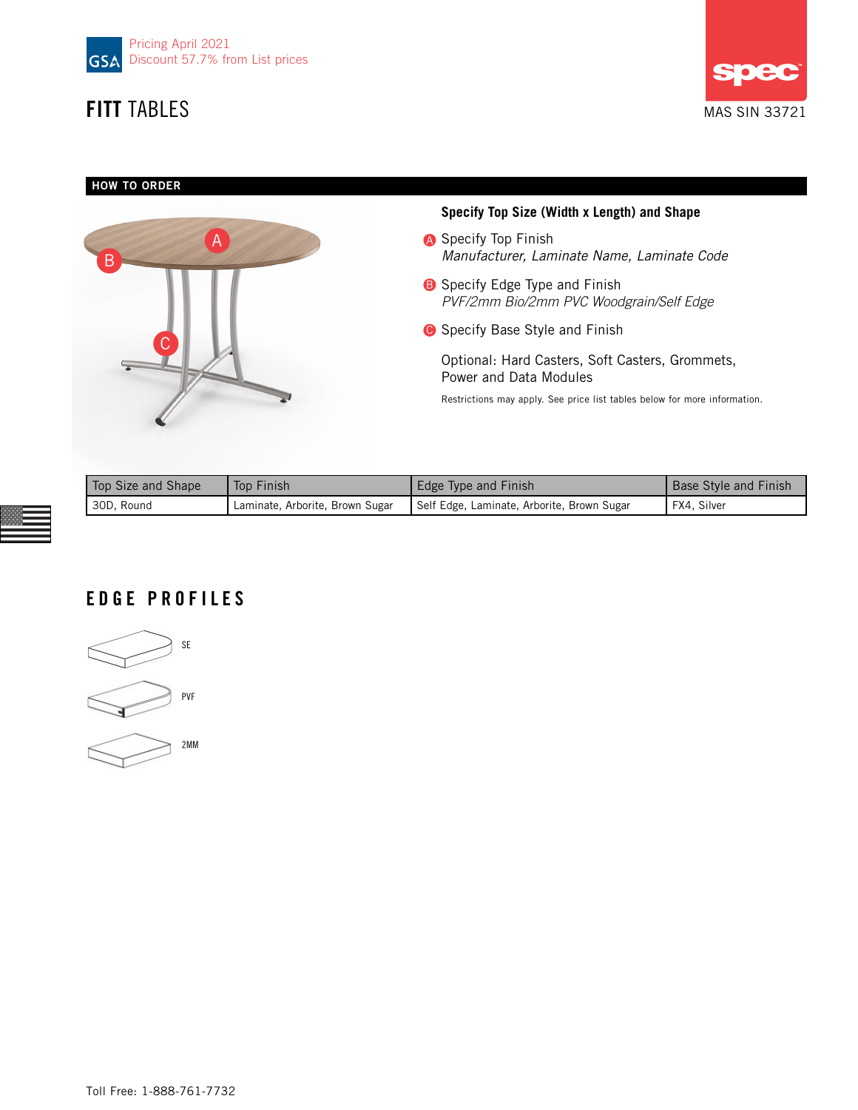



## HOW TO ORDER



## **Specify Top Size (Width x Length) and Shape**

- **A** Specify Top Finish *Manufacturer, Laminate Name, Laminate Code*
- **B** Specify Edge Type and Finish *PVF/2mm Bio/2mm PVC Woodgrain/Self Edge*
- **G** Specify Base Style and Finish

Optional: Hard Casters, Soft Casters, Grommets, Power and Data Modules

Restrictions may apply. See price list tables below for more information.

| Top Size and Shape | Top Finish                      | Edge Type and Finish                       | <b>Base Style and Finish</b> |
|--------------------|---------------------------------|--------------------------------------------|------------------------------|
| 30D, Round         | Laminate, Arborite, Brown Sugar | Self Edge, Laminate, Arborite, Brown Sugar | FX4, Silver                  |

# EDGE PROFILES